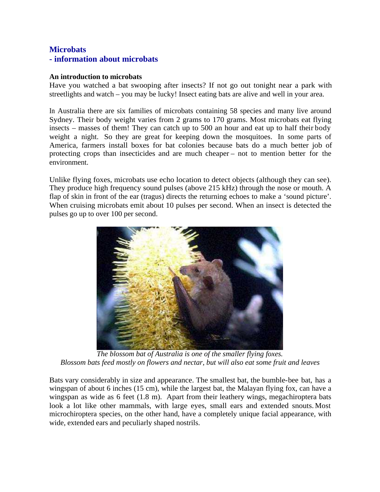## **Microbats - information about microbats**

## **An introduction to microbats**

Have you watched a bat swooping after insects? If not go out tonight near a park with streetlights and watch – you may be lucky! Insect eating bats are alive and well in your area.

In Australia there are six families of microbats containing 58 species and many live around Sydney. Their body weight varies from 2 grams to 170 grams. Most microbats eat flying insects – masses of them! They can catch up to 500 an hour and eat up to half their body weight a night. So they are great for keeping down the mosquitoes. In some parts of America, farmers install boxes for bat colonies because bats do a much better job of protecting crops than insecticides and are much cheaper – not to mention better for the environment.

Unlike flying foxes, microbats use echo location to detect objects (although they can see). They produce high frequency sound pulses (above 215 kHz) through the nose or mouth. A flap of skin in front of the ear (tragus) directs the returning echoes to make a 'sound picture'. When cruising microbats emit about 10 pulses per second. When an insect is detected the pulses go up to over 100 per second.



*The blossom bat of Australia is one of the smaller flying foxes. Blossom bats feed mostly on flowers and nectar, but will also eat some fruit and leaves*

Bats vary considerably in size and appearance. The smallest bat, the bumble-bee bat, has a wingspan of about 6 inches (15 cm), while the largest bat, the Malayan flying fox, can have a wingspan as wide as 6 feet (1.8 m). Apart from their leathery wings, megachiroptera bats look a lot like other mammals, with large eyes, small ears and extended snouts. Most microchiroptera species, on the other hand, have a completely unique facial appearance, with wide, extended ears and peculiarly shaped nostrils.